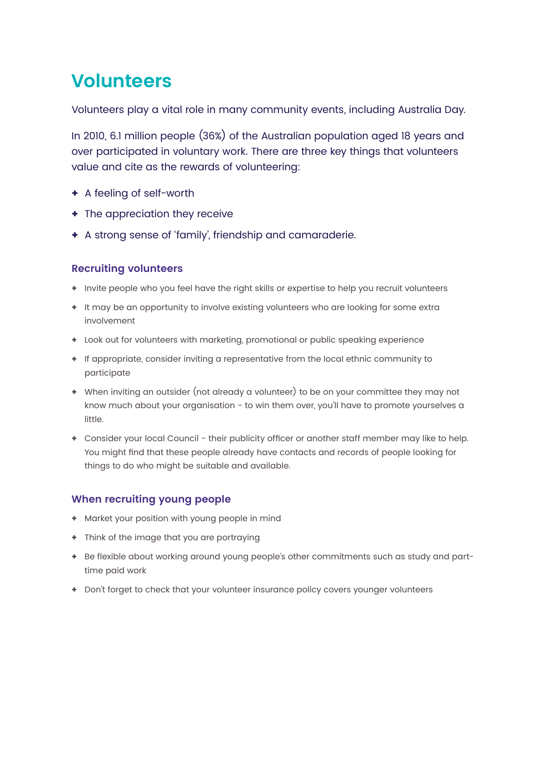# **Volunteers**

Volunteers play a vital role in many community events, including Australia Day.

In 2010, 6.1 million people (36%) of the Australian population aged 18 years and over participated in voluntary work. There are three key things that volunteers value and cite as the rewards of volunteering:

- **+** A feeling of self-worth
- **+** The appreciation they receive
- **+** A strong sense of 'family', friendship and camaraderie.

## **Recruiting volunteers**

- **+** Invite people who you feel have the right skills or expertise to help you recruit volunteers
- **+** It may be an opportunity to involve existing volunteers who are looking for some extra involvement
- **+** Look out for volunteers with marketing, promotional or public speaking experience
- **+** If appropriate, consider inviting a representative from the local ethnic community to participate
- **+** When inviting an outsider (not already a volunteer) to be on your committee they may not know much about your organisation - to win them over, you'll have to promote yourselves a little.
- **+** Consider your local Council their publicity officer or another staff member may like to help. You might find that these people already have contacts and records of people looking for things to do who might be suitable and available.

## **When recruiting young people**

- **+** Market your position with young people in mind
- **+** Think of the image that you are portraying
- **+** Be flexible about working around young people's other commitments such as study and parttime paid work
- **+** Don't forget to check that your volunteer insurance policy covers younger volunteers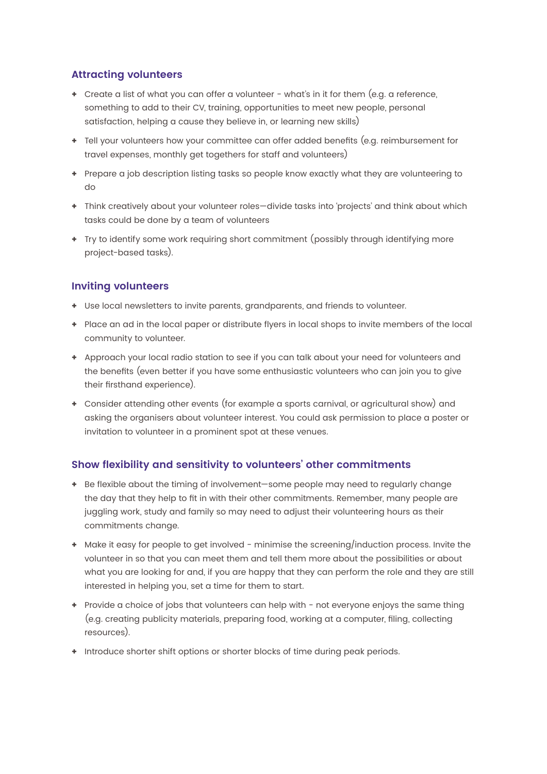## **Attracting volunteers**

- **+** Create a list of what you can offer a volunteer what's in it for them (e.g. a reference, something to add to their CV, training, opportunities to meet new people, personal satisfaction, helping a cause they believe in, or learning new skills)
- **+** Tell your volunteers how your committee can offer added benefits (e.g. reimbursement for travel expenses, monthly get togethers for staff and volunteers)
- **+** Prepare a job description listing tasks so people know exactly what they are volunteering to do
- **+** Think creatively about your volunteer roles—divide tasks into 'projects' and think about which tasks could be done by a team of volunteers
- **+** Try to identify some work requiring short commitment (possibly through identifying more project-based tasks).

## **Inviting volunteers**

- **+** Use local newsletters to invite parents, grandparents, and friends to volunteer.
- **+** Place an ad in the local paper or distribute flyers in local shops to invite members of the local community to volunteer.
- **+** Approach your local radio station to see if you can talk about your need for volunteers and the benefits (even better if you have some enthusiastic volunteers who can join you to give their firsthand experience).
- **+** Consider attending other events (for example a sports carnival, or agricultural show) and asking the organisers about volunteer interest. You could ask permission to place a poster or invitation to volunteer in a prominent spot at these venues.

## **Show flexibility and sensitivity to volunteers' other commitments**

- **+** Be flexible about the timing of involvement—some people may need to regularly change the day that they help to fit in with their other commitments. Remember, many people are juggling work, study and family so may need to adjust their volunteering hours as their commitments change.
- **+** Make it easy for people to get involved minimise the screening/induction process. Invite the volunteer in so that you can meet them and tell them more about the possibilities or about what you are looking for and, if you are happy that they can perform the role and they are still interested in helping you, set a time for them to start.
- **+** Provide a choice of jobs that volunteers can help with not everyone enjoys the same thing (e.g. creating publicity materials, preparing food, working at a computer, filing, collecting resources).
- **+** Introduce shorter shift options or shorter blocks of time during peak periods.